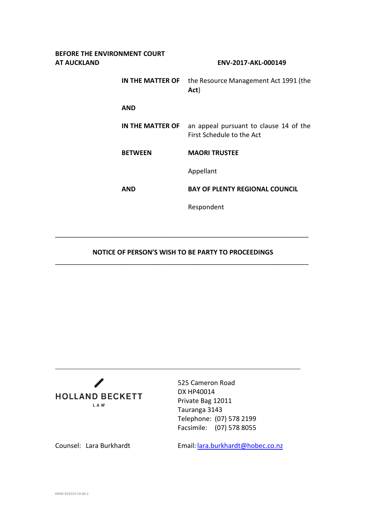| BEFORE THE ENVIRONMENT COURT<br>AT AUCKLAND |                  | ENV-2017-AKL-000149                                                 |
|---------------------------------------------|------------------|---------------------------------------------------------------------|
|                                             | IN THE MATTER OF | the Resource Management Act 1991 (the<br>Act)                       |
|                                             | <b>AND</b>       |                                                                     |
|                                             | IN THE MATTER OF | an appeal pursuant to clause 14 of the<br>First Schedule to the Act |
|                                             | <b>BETWEEN</b>   | <b>MAORI TRUSTEE</b>                                                |
|                                             |                  | Appellant                                                           |
|                                             | <b>AND</b>       | <b>BAY OF PLENTY REGIONAL COUNCIL</b>                               |
|                                             |                  | Respondent                                                          |
|                                             |                  |                                                                     |

## **NOTICE OF PERSON'S WISH TO BE PARTY TO PROCEEDINGS** \_\_\_\_\_\_\_\_\_\_\_\_\_\_\_\_\_\_\_\_\_\_\_\_\_\_\_\_\_\_\_\_\_\_\_\_\_\_\_\_\_\_\_\_\_\_\_\_\_\_\_\_\_\_\_\_\_\_\_\_\_\_\_\_\_\_\_\_\_

\_\_\_\_\_\_\_\_\_\_\_\_\_\_\_\_\_\_\_\_\_\_\_\_\_\_\_\_\_\_\_\_\_\_\_\_\_\_\_\_\_\_\_\_\_\_\_\_\_\_\_\_\_\_\_\_\_\_\_\_\_\_\_\_\_\_\_\_\_



525 Cameron Road DX HP40014 Private Bag 12011 Tauranga 3143 Telephone: (07) 578 2199 Facsimile: (07) 578 8055

Counsel: Lara Burkhardt Email: [lara.burkhardt@hobec.co.nz](mailto:lara.burkhardt@hobec.co.nz)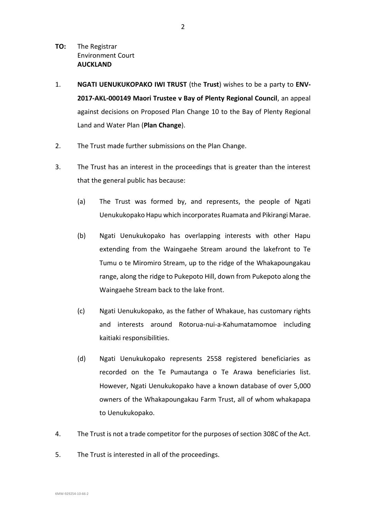- **TO:** The Registrar Environment Court **AUCKLAND**
- 1. **NGATI UENUKUKOPAKO IWI TRUST** (the **Trust**) wishes to be a party to **ENV-2017-AKL-000149 Maori Trustee v Bay of Plenty Regional Council**, an appeal against decisions on Proposed Plan Change 10 to the Bay of Plenty Regional Land and Water Plan (**Plan Change**).
- 2. The Trust made further submissions on the Plan Change.
- 3. The Trust has an interest in the proceedings that is greater than the interest that the general public has because:
	- (a) The Trust was formed by, and represents, the people of Ngati Uenukukopako Hapu which incorporates Ruamata and Pikirangi Marae.
	- (b) Ngati Uenukukopako has overlapping interests with other Hapu extending from the Waingaehe Stream around the lakefront to Te Tumu o te Miromiro Stream, up to the ridge of the Whakapoungakau range, along the ridge to Pukepoto Hill, down from Pukepoto along the Waingaehe Stream back to the lake front.
	- (c) Ngati Uenukukopako, as the father of Whakaue, has customary rights and interests around Rotorua-nui-a-Kahumatamomoe including kaitiaki responsibilities.
	- (d) Ngati Uenukukopako represents 2558 registered beneficiaries as recorded on the Te Pumautanga o Te Arawa beneficiaries list. However, Ngati Uenukukopako have a known database of over 5,000 owners of the Whakapoungakau Farm Trust, all of whom whakapapa to Uenukukopako.
- 4. The Trust is not a trade competitor for the purposes of section 308C of the Act.
- 5. The Trust is interested in all of the proceedings.